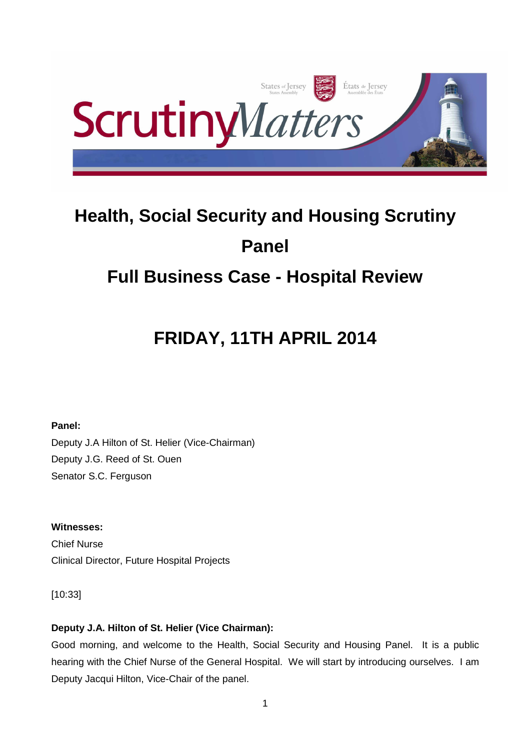

# **Health, Social Security and Housing Scrutiny Panel Full Business Case - Hospital Review**

# **FRIDAY, 11TH APRIL 2014**

**Panel:** 

Deputy J.A Hilton of St. Helier (Vice-Chairman) Deputy J.G. Reed of St. Ouen Senator S.C. Ferguson

**Witnesses:**  Chief Nurse Clinical Director, Future Hospital Projects

[10:33]

# **Deputy J.A. Hilton of St. Helier (Vice Chairman):**

Good morning, and welcome to the Health, Social Security and Housing Panel. It is a public hearing with the Chief Nurse of the General Hospital. We will start by introducing ourselves. I am Deputy Jacqui Hilton, Vice-Chair of the panel.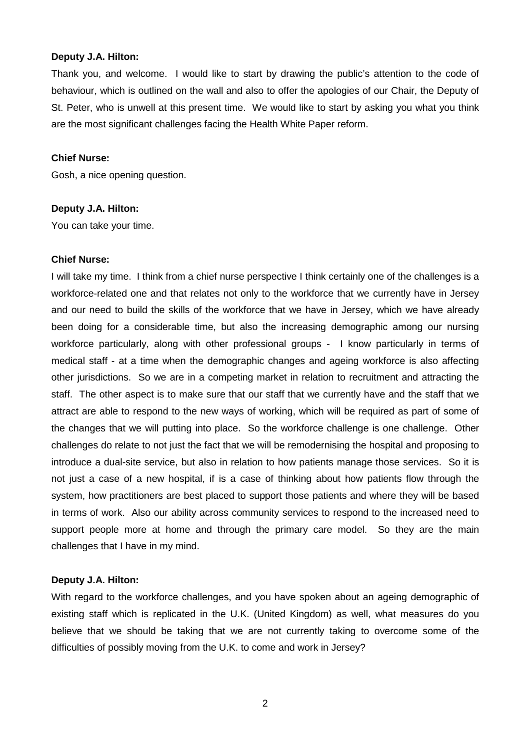#### **Deputy J.A. Hilton:**

Thank you, and welcome. I would like to start by drawing the public's attention to the code of behaviour, which is outlined on the wall and also to offer the apologies of our Chair, the Deputy of St. Peter, who is unwell at this present time. We would like to start by asking you what you think are the most significant challenges facing the Health White Paper reform.

#### **Chief Nurse:**

Gosh, a nice opening question.

## **Deputy J.A. Hilton:**

You can take your time.

#### **Chief Nurse:**

I will take my time. I think from a chief nurse perspective I think certainly one of the challenges is a workforce-related one and that relates not only to the workforce that we currently have in Jersey and our need to build the skills of the workforce that we have in Jersey, which we have already been doing for a considerable time, but also the increasing demographic among our nursing workforce particularly, along with other professional groups - I know particularly in terms of medical staff - at a time when the demographic changes and ageing workforce is also affecting other jurisdictions. So we are in a competing market in relation to recruitment and attracting the staff. The other aspect is to make sure that our staff that we currently have and the staff that we attract are able to respond to the new ways of working, which will be required as part of some of the changes that we will putting into place. So the workforce challenge is one challenge. Other challenges do relate to not just the fact that we will be remodernising the hospital and proposing to introduce a dual-site service, but also in relation to how patients manage those services. So it is not just a case of a new hospital, if is a case of thinking about how patients flow through the system, how practitioners are best placed to support those patients and where they will be based in terms of work. Also our ability across community services to respond to the increased need to support people more at home and through the primary care model. So they are the main challenges that I have in my mind.

## **Deputy J.A. Hilton:**

With regard to the workforce challenges, and you have spoken about an ageing demographic of existing staff which is replicated in the U.K. (United Kingdom) as well, what measures do you believe that we should be taking that we are not currently taking to overcome some of the difficulties of possibly moving from the U.K. to come and work in Jersey?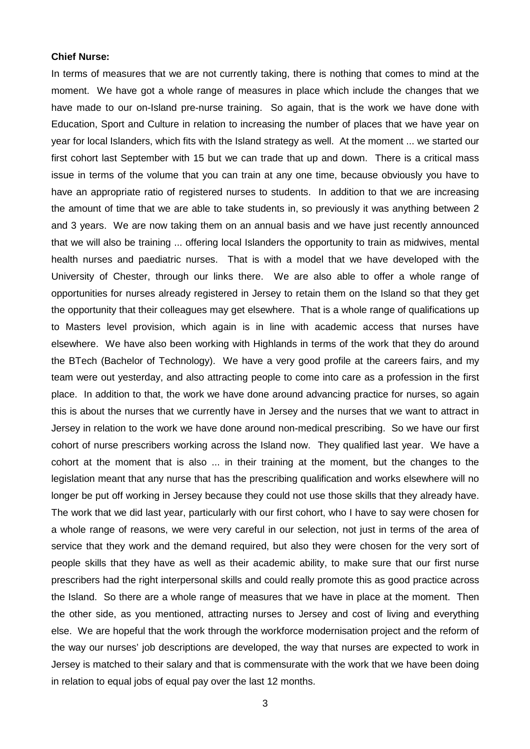#### **Chief Nurse:**

In terms of measures that we are not currently taking, there is nothing that comes to mind at the moment. We have got a whole range of measures in place which include the changes that we have made to our on-Island pre-nurse training. So again, that is the work we have done with Education, Sport and Culture in relation to increasing the number of places that we have year on year for local Islanders, which fits with the Island strategy as well. At the moment ... we started our first cohort last September with 15 but we can trade that up and down. There is a critical mass issue in terms of the volume that you can train at any one time, because obviously you have to have an appropriate ratio of registered nurses to students. In addition to that we are increasing the amount of time that we are able to take students in, so previously it was anything between 2 and 3 years. We are now taking them on an annual basis and we have just recently announced that we will also be training ... offering local Islanders the opportunity to train as midwives, mental health nurses and paediatric nurses. That is with a model that we have developed with the University of Chester, through our links there. We are also able to offer a whole range of opportunities for nurses already registered in Jersey to retain them on the Island so that they get the opportunity that their colleagues may get elsewhere. That is a whole range of qualifications up to Masters level provision, which again is in line with academic access that nurses have elsewhere. We have also been working with Highlands in terms of the work that they do around the BTech (Bachelor of Technology). We have a very good profile at the careers fairs, and my team were out yesterday, and also attracting people to come into care as a profession in the first place. In addition to that, the work we have done around advancing practice for nurses, so again this is about the nurses that we currently have in Jersey and the nurses that we want to attract in Jersey in relation to the work we have done around non-medical prescribing. So we have our first cohort of nurse prescribers working across the Island now. They qualified last year. We have a cohort at the moment that is also ... in their training at the moment, but the changes to the legislation meant that any nurse that has the prescribing qualification and works elsewhere will no longer be put off working in Jersey because they could not use those skills that they already have. The work that we did last year, particularly with our first cohort, who I have to say were chosen for a whole range of reasons, we were very careful in our selection, not just in terms of the area of service that they work and the demand required, but also they were chosen for the very sort of people skills that they have as well as their academic ability, to make sure that our first nurse prescribers had the right interpersonal skills and could really promote this as good practice across the Island. So there are a whole range of measures that we have in place at the moment. Then the other side, as you mentioned, attracting nurses to Jersey and cost of living and everything else. We are hopeful that the work through the workforce modernisation project and the reform of the way our nurses' job descriptions are developed, the way that nurses are expected to work in Jersey is matched to their salary and that is commensurate with the work that we have been doing in relation to equal jobs of equal pay over the last 12 months.

3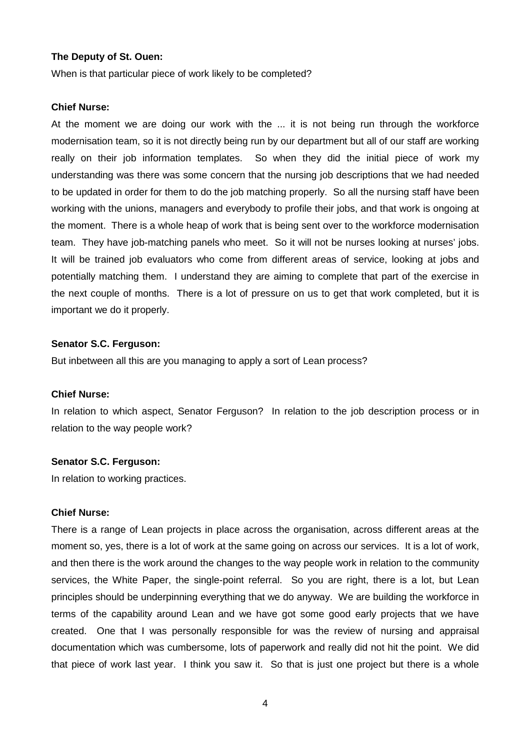#### **The Deputy of St. Ouen:**

When is that particular piece of work likely to be completed?

#### **Chief Nurse:**

At the moment we are doing our work with the ... it is not being run through the workforce modernisation team, so it is not directly being run by our department but all of our staff are working really on their job information templates. So when they did the initial piece of work my understanding was there was some concern that the nursing job descriptions that we had needed to be updated in order for them to do the job matching properly. So all the nursing staff have been working with the unions, managers and everybody to profile their jobs, and that work is ongoing at the moment. There is a whole heap of work that is being sent over to the workforce modernisation team. They have job-matching panels who meet. So it will not be nurses looking at nurses' jobs. It will be trained job evaluators who come from different areas of service, looking at jobs and potentially matching them. I understand they are aiming to complete that part of the exercise in the next couple of months. There is a lot of pressure on us to get that work completed, but it is important we do it properly.

#### **Senator S.C. Ferguson:**

But inbetween all this are you managing to apply a sort of Lean process?

#### **Chief Nurse:**

In relation to which aspect, Senator Ferguson? In relation to the job description process or in relation to the way people work?

#### **Senator S.C. Ferguson:**

In relation to working practices.

## **Chief Nurse:**

There is a range of Lean projects in place across the organisation, across different areas at the moment so, yes, there is a lot of work at the same going on across our services. It is a lot of work, and then there is the work around the changes to the way people work in relation to the community services, the White Paper, the single-point referral. So you are right, there is a lot, but Lean principles should be underpinning everything that we do anyway. We are building the workforce in terms of the capability around Lean and we have got some good early projects that we have created. One that I was personally responsible for was the review of nursing and appraisal documentation which was cumbersome, lots of paperwork and really did not hit the point. We did that piece of work last year. I think you saw it. So that is just one project but there is a whole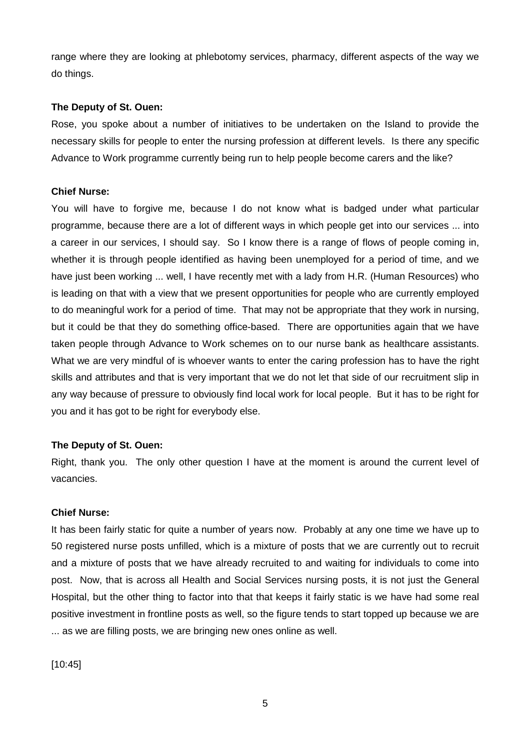range where they are looking at phlebotomy services, pharmacy, different aspects of the way we do things.

# **The Deputy of St. Ouen:**

Rose, you spoke about a number of initiatives to be undertaken on the Island to provide the necessary skills for people to enter the nursing profession at different levels. Is there any specific Advance to Work programme currently being run to help people become carers and the like?

# **Chief Nurse:**

You will have to forgive me, because I do not know what is badged under what particular programme, because there are a lot of different ways in which people get into our services ... into a career in our services, I should say. So I know there is a range of flows of people coming in, whether it is through people identified as having been unemployed for a period of time, and we have just been working ... well, I have recently met with a lady from H.R. (Human Resources) who is leading on that with a view that we present opportunities for people who are currently employed to do meaningful work for a period of time. That may not be appropriate that they work in nursing, but it could be that they do something office-based. There are opportunities again that we have taken people through Advance to Work schemes on to our nurse bank as healthcare assistants. What we are very mindful of is whoever wants to enter the caring profession has to have the right skills and attributes and that is very important that we do not let that side of our recruitment slip in any way because of pressure to obviously find local work for local people. But it has to be right for you and it has got to be right for everybody else.

# **The Deputy of St. Ouen:**

Right, thank you. The only other question I have at the moment is around the current level of vacancies.

## **Chief Nurse:**

It has been fairly static for quite a number of years now. Probably at any one time we have up to 50 registered nurse posts unfilled, which is a mixture of posts that we are currently out to recruit and a mixture of posts that we have already recruited to and waiting for individuals to come into post. Now, that is across all Health and Social Services nursing posts, it is not just the General Hospital, but the other thing to factor into that that keeps it fairly static is we have had some real positive investment in frontline posts as well, so the figure tends to start topped up because we are ... as we are filling posts, we are bringing new ones online as well.

[10:45]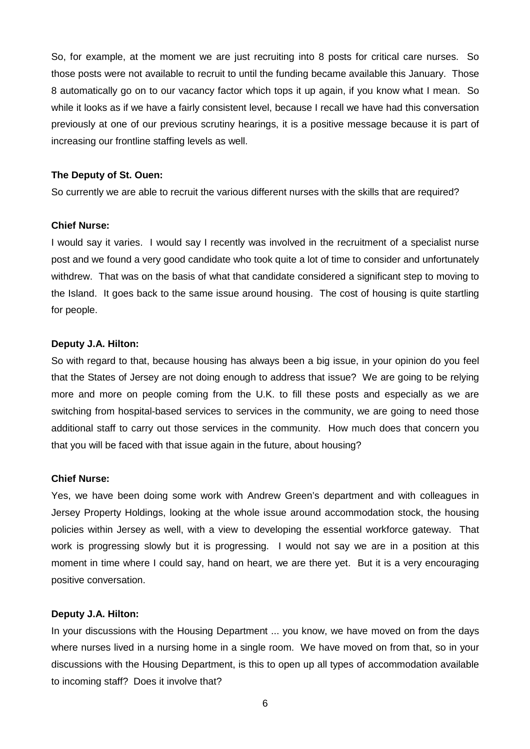So, for example, at the moment we are just recruiting into 8 posts for critical care nurses. So those posts were not available to recruit to until the funding became available this January. Those 8 automatically go on to our vacancy factor which tops it up again, if you know what I mean. So while it looks as if we have a fairly consistent level, because I recall we have had this conversation previously at one of our previous scrutiny hearings, it is a positive message because it is part of increasing our frontline staffing levels as well.

#### **The Deputy of St. Ouen:**

So currently we are able to recruit the various different nurses with the skills that are required?

#### **Chief Nurse:**

I would say it varies. I would say I recently was involved in the recruitment of a specialist nurse post and we found a very good candidate who took quite a lot of time to consider and unfortunately withdrew. That was on the basis of what that candidate considered a significant step to moving to the Island. It goes back to the same issue around housing. The cost of housing is quite startling for people.

#### **Deputy J.A. Hilton:**

So with regard to that, because housing has always been a big issue, in your opinion do you feel that the States of Jersey are not doing enough to address that issue? We are going to be relying more and more on people coming from the U.K. to fill these posts and especially as we are switching from hospital-based services to services in the community, we are going to need those additional staff to carry out those services in the community. How much does that concern you that you will be faced with that issue again in the future, about housing?

#### **Chief Nurse:**

Yes, we have been doing some work with Andrew Green's department and with colleagues in Jersey Property Holdings, looking at the whole issue around accommodation stock, the housing policies within Jersey as well, with a view to developing the essential workforce gateway. That work is progressing slowly but it is progressing. I would not say we are in a position at this moment in time where I could say, hand on heart, we are there yet. But it is a very encouraging positive conversation.

#### **Deputy J.A. Hilton:**

In your discussions with the Housing Department ... you know, we have moved on from the days where nurses lived in a nursing home in a single room. We have moved on from that, so in your discussions with the Housing Department, is this to open up all types of accommodation available to incoming staff? Does it involve that?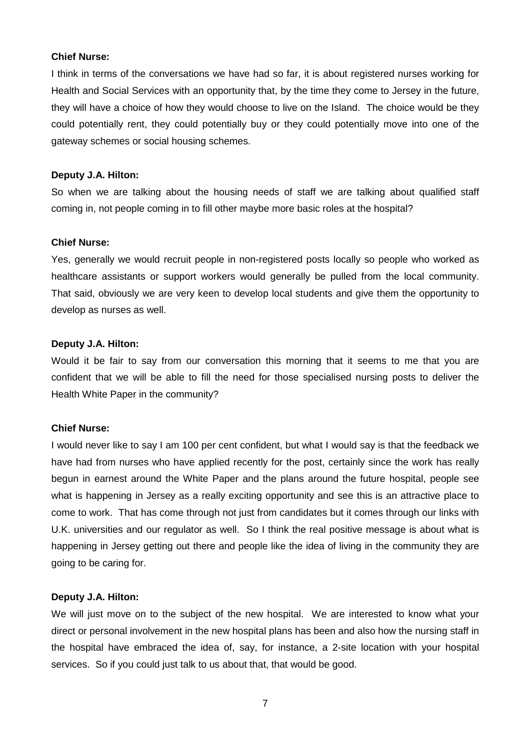#### **Chief Nurse:**

I think in terms of the conversations we have had so far, it is about registered nurses working for Health and Social Services with an opportunity that, by the time they come to Jersey in the future, they will have a choice of how they would choose to live on the Island. The choice would be they could potentially rent, they could potentially buy or they could potentially move into one of the gateway schemes or social housing schemes.

# **Deputy J.A. Hilton:**

So when we are talking about the housing needs of staff we are talking about qualified staff coming in, not people coming in to fill other maybe more basic roles at the hospital?

## **Chief Nurse:**

Yes, generally we would recruit people in non-registered posts locally so people who worked as healthcare assistants or support workers would generally be pulled from the local community. That said, obviously we are very keen to develop local students and give them the opportunity to develop as nurses as well.

## **Deputy J.A. Hilton:**

Would it be fair to say from our conversation this morning that it seems to me that you are confident that we will be able to fill the need for those specialised nursing posts to deliver the Health White Paper in the community?

# **Chief Nurse:**

I would never like to say I am 100 per cent confident, but what I would say is that the feedback we have had from nurses who have applied recently for the post, certainly since the work has really begun in earnest around the White Paper and the plans around the future hospital, people see what is happening in Jersey as a really exciting opportunity and see this is an attractive place to come to work. That has come through not just from candidates but it comes through our links with U.K. universities and our regulator as well. So I think the real positive message is about what is happening in Jersey getting out there and people like the idea of living in the community they are going to be caring for.

# **Deputy J.A. Hilton:**

We will just move on to the subject of the new hospital. We are interested to know what your direct or personal involvement in the new hospital plans has been and also how the nursing staff in the hospital have embraced the idea of, say, for instance, a 2-site location with your hospital services. So if you could just talk to us about that, that would be good.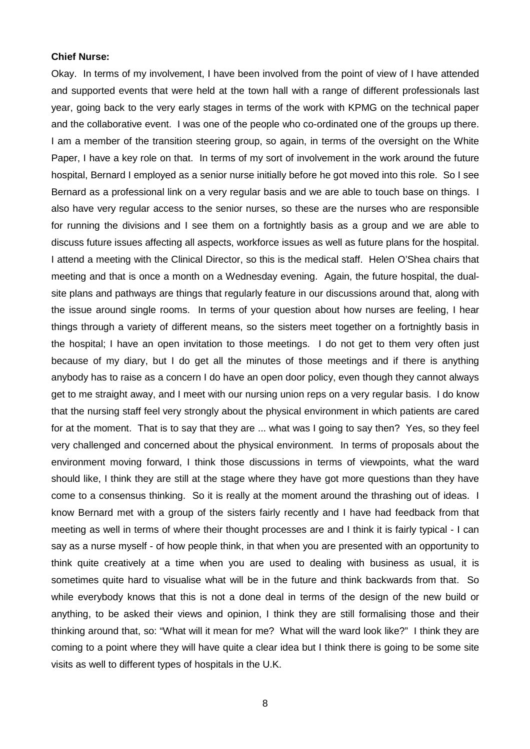#### **Chief Nurse:**

Okay. In terms of my involvement, I have been involved from the point of view of I have attended and supported events that were held at the town hall with a range of different professionals last year, going back to the very early stages in terms of the work with KPMG on the technical paper and the collaborative event. I was one of the people who co-ordinated one of the groups up there. I am a member of the transition steering group, so again, in terms of the oversight on the White Paper, I have a key role on that. In terms of my sort of involvement in the work around the future hospital, Bernard I employed as a senior nurse initially before he got moved into this role. So I see Bernard as a professional link on a very regular basis and we are able to touch base on things. I also have very regular access to the senior nurses, so these are the nurses who are responsible for running the divisions and I see them on a fortnightly basis as a group and we are able to discuss future issues affecting all aspects, workforce issues as well as future plans for the hospital. I attend a meeting with the Clinical Director, so this is the medical staff. Helen O'Shea chairs that meeting and that is once a month on a Wednesday evening. Again, the future hospital, the dualsite plans and pathways are things that regularly feature in our discussions around that, along with the issue around single rooms. In terms of your question about how nurses are feeling, I hear things through a variety of different means, so the sisters meet together on a fortnightly basis in the hospital; I have an open invitation to those meetings. I do not get to them very often just because of my diary, but I do get all the minutes of those meetings and if there is anything anybody has to raise as a concern I do have an open door policy, even though they cannot always get to me straight away, and I meet with our nursing union reps on a very regular basis. I do know that the nursing staff feel very strongly about the physical environment in which patients are cared for at the moment. That is to say that they are ... what was I going to say then? Yes, so they feel very challenged and concerned about the physical environment. In terms of proposals about the environment moving forward, I think those discussions in terms of viewpoints, what the ward should like, I think they are still at the stage where they have got more questions than they have come to a consensus thinking. So it is really at the moment around the thrashing out of ideas. I know Bernard met with a group of the sisters fairly recently and I have had feedback from that meeting as well in terms of where their thought processes are and I think it is fairly typical - I can say as a nurse myself - of how people think, in that when you are presented with an opportunity to think quite creatively at a time when you are used to dealing with business as usual, it is sometimes quite hard to visualise what will be in the future and think backwards from that. So while everybody knows that this is not a done deal in terms of the design of the new build or anything, to be asked their views and opinion, I think they are still formalising those and their thinking around that, so: "What will it mean for me? What will the ward look like?" I think they are coming to a point where they will have quite a clear idea but I think there is going to be some site visits as well to different types of hospitals in the U.K.

8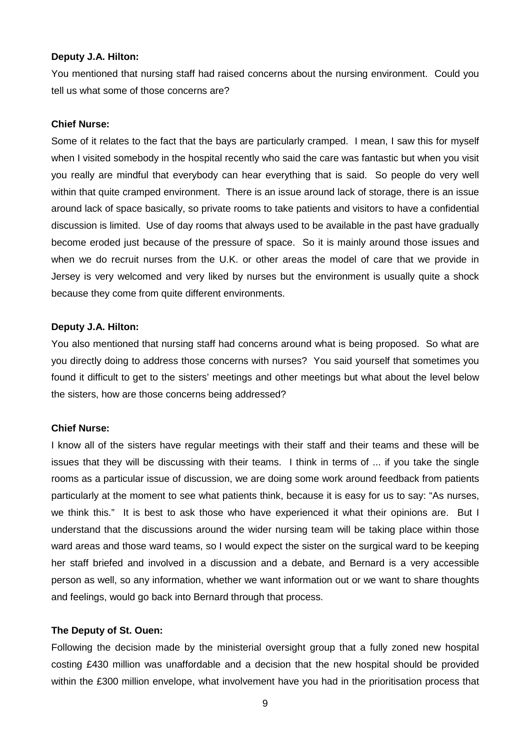#### **Deputy J.A. Hilton:**

You mentioned that nursing staff had raised concerns about the nursing environment. Could you tell us what some of those concerns are?

# **Chief Nurse:**

Some of it relates to the fact that the bays are particularly cramped. I mean, I saw this for myself when I visited somebody in the hospital recently who said the care was fantastic but when you visit you really are mindful that everybody can hear everything that is said. So people do very well within that quite cramped environment. There is an issue around lack of storage, there is an issue around lack of space basically, so private rooms to take patients and visitors to have a confidential discussion is limited. Use of day rooms that always used to be available in the past have gradually become eroded just because of the pressure of space. So it is mainly around those issues and when we do recruit nurses from the U.K. or other areas the model of care that we provide in Jersey is very welcomed and very liked by nurses but the environment is usually quite a shock because they come from quite different environments.

## **Deputy J.A. Hilton:**

You also mentioned that nursing staff had concerns around what is being proposed. So what are you directly doing to address those concerns with nurses? You said yourself that sometimes you found it difficult to get to the sisters' meetings and other meetings but what about the level below the sisters, how are those concerns being addressed?

#### **Chief Nurse:**

I know all of the sisters have regular meetings with their staff and their teams and these will be issues that they will be discussing with their teams. I think in terms of ... if you take the single rooms as a particular issue of discussion, we are doing some work around feedback from patients particularly at the moment to see what patients think, because it is easy for us to say: "As nurses, we think this." It is best to ask those who have experienced it what their opinions are. But I understand that the discussions around the wider nursing team will be taking place within those ward areas and those ward teams, so I would expect the sister on the surgical ward to be keeping her staff briefed and involved in a discussion and a debate, and Bernard is a very accessible person as well, so any information, whether we want information out or we want to share thoughts and feelings, would go back into Bernard through that process.

#### **The Deputy of St. Ouen:**

Following the decision made by the ministerial oversight group that a fully zoned new hospital costing £430 million was unaffordable and a decision that the new hospital should be provided within the £300 million envelope, what involvement have you had in the prioritisation process that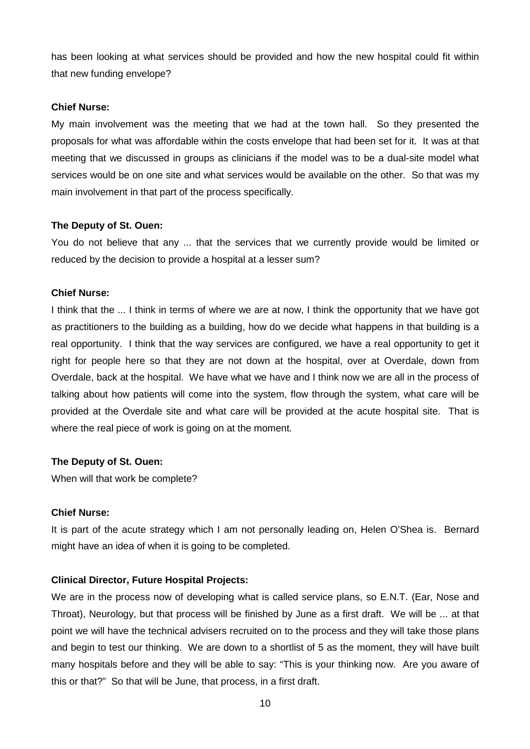has been looking at what services should be provided and how the new hospital could fit within that new funding envelope?

# **Chief Nurse:**

My main involvement was the meeting that we had at the town hall. So they presented the proposals for what was affordable within the costs envelope that had been set for it. It was at that meeting that we discussed in groups as clinicians if the model was to be a dual-site model what services would be on one site and what services would be available on the other. So that was my main involvement in that part of the process specifically.

# **The Deputy of St. Ouen:**

You do not believe that any ... that the services that we currently provide would be limited or reduced by the decision to provide a hospital at a lesser sum?

## **Chief Nurse:**

I think that the ... I think in terms of where we are at now, I think the opportunity that we have got as practitioners to the building as a building, how do we decide what happens in that building is a real opportunity. I think that the way services are configured, we have a real opportunity to get it right for people here so that they are not down at the hospital, over at Overdale, down from Overdale, back at the hospital. We have what we have and I think now we are all in the process of talking about how patients will come into the system, flow through the system, what care will be provided at the Overdale site and what care will be provided at the acute hospital site. That is where the real piece of work is going on at the moment.

# **The Deputy of St. Ouen:**

When will that work be complete?

## **Chief Nurse:**

It is part of the acute strategy which I am not personally leading on, Helen O'Shea is. Bernard might have an idea of when it is going to be completed.

# **Clinical Director, Future Hospital Projects:**

We are in the process now of developing what is called service plans, so E.N.T. (Ear, Nose and Throat), Neurology, but that process will be finished by June as a first draft. We will be ... at that point we will have the technical advisers recruited on to the process and they will take those plans and begin to test our thinking. We are down to a shortlist of 5 as the moment, they will have built many hospitals before and they will be able to say: "This is your thinking now. Are you aware of this or that?" So that will be June, that process, in a first draft.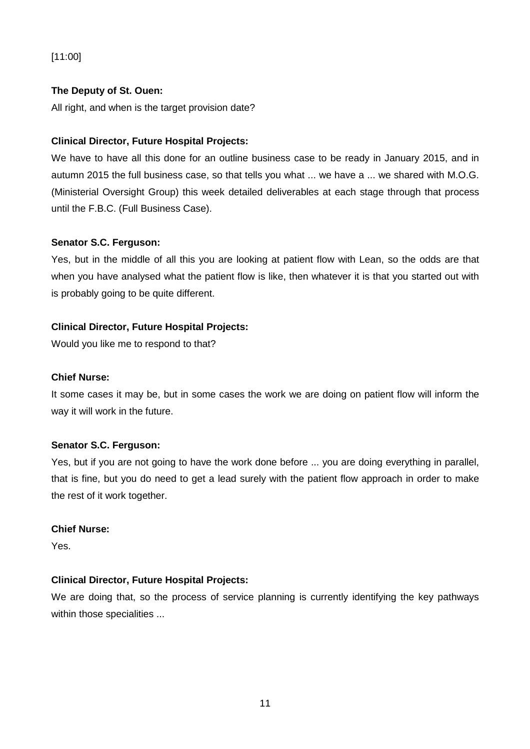# [11:00]

# **The Deputy of St. Ouen:**

All right, and when is the target provision date?

# **Clinical Director, Future Hospital Projects:**

We have to have all this done for an outline business case to be ready in January 2015, and in autumn 2015 the full business case, so that tells you what ... we have a ... we shared with M.O.G. (Ministerial Oversight Group) this week detailed deliverables at each stage through that process until the F.B.C. (Full Business Case).

# **Senator S.C. Ferguson:**

Yes, but in the middle of all this you are looking at patient flow with Lean, so the odds are that when you have analysed what the patient flow is like, then whatever it is that you started out with is probably going to be quite different.

# **Clinical Director, Future Hospital Projects:**

Would you like me to respond to that?

# **Chief Nurse:**

It some cases it may be, but in some cases the work we are doing on patient flow will inform the way it will work in the future.

# **Senator S.C. Ferguson:**

Yes, but if you are not going to have the work done before ... you are doing everything in parallel, that is fine, but you do need to get a lead surely with the patient flow approach in order to make the rest of it work together.

# **Chief Nurse:**

Yes.

# **Clinical Director, Future Hospital Projects:**

We are doing that, so the process of service planning is currently identifying the key pathways within those specialities ...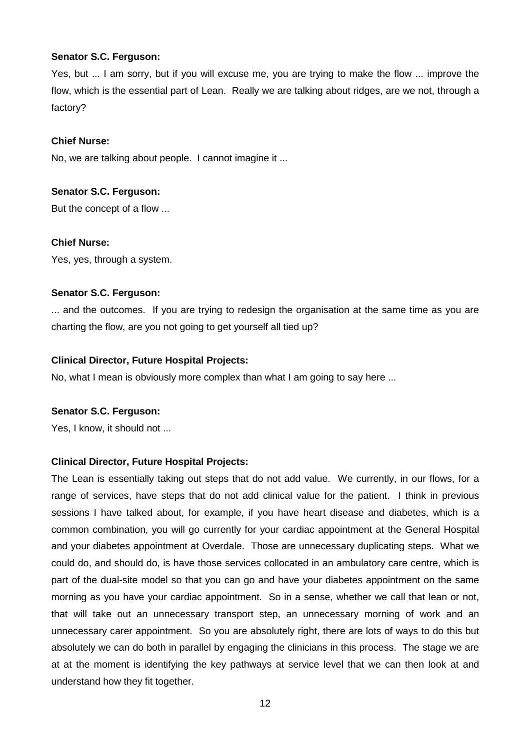## **Senator S.C. Ferguson:**

Yes, but ... I am sorry, but if you will excuse me, you are trying to make the flow ... improve the flow, which is the essential part of Lean. Really we are talking about ridges, are we not, through a factory?

## **Chief Nurse:**

No, we are talking about people. I cannot imagine it ...

## **Senator S.C. Ferguson:**

But the concept of a flow ...

## **Chief Nurse:**

Yes, yes, through a system.

## **Senator S.C. Ferguson:**

... and the outcomes. If you are trying to redesign the organisation at the same time as you are charting the flow, are you not going to get yourself all tied up?

## **Clinical Director, Future Hospital Projects:**

No, what I mean is obviously more complex than what I am going to say here ...

# **Senator S.C. Ferguson:**

Yes, I know, it should not ...

# **Clinical Director, Future Hospital Projects:**

The Lean is essentially taking out steps that do not add value. We currently, in our flows, for a range of services, have steps that do not add clinical value for the patient. I think in previous sessions I have talked about, for example, if you have heart disease and diabetes, which is a common combination, you will go currently for your cardiac appointment at the General Hospital and your diabetes appointment at Overdale. Those are unnecessary duplicating steps. What we could do, and should do, is have those services collocated in an ambulatory care centre, which is part of the dual-site model so that you can go and have your diabetes appointment on the same morning as you have your cardiac appointment. So in a sense, whether we call that lean or not, that will take out an unnecessary transport step, an unnecessary morning of work and an unnecessary carer appointment. So you are absolutely right, there are lots of ways to do this but absolutely we can do both in parallel by engaging the clinicians in this process. The stage we are at at the moment is identifying the key pathways at service level that we can then look at and understand how they fit together.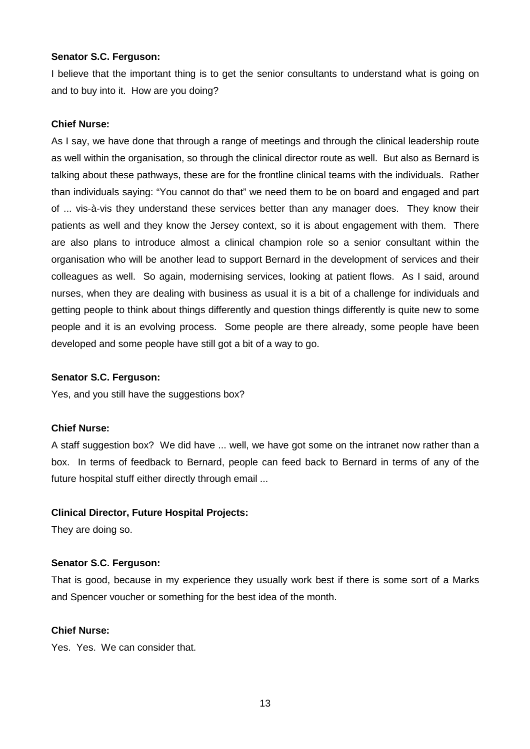## **Senator S.C. Ferguson:**

I believe that the important thing is to get the senior consultants to understand what is going on and to buy into it. How are you doing?

# **Chief Nurse:**

As I say, we have done that through a range of meetings and through the clinical leadership route as well within the organisation, so through the clinical director route as well. But also as Bernard is talking about these pathways, these are for the frontline clinical teams with the individuals. Rather than individuals saying: "You cannot do that" we need them to be on board and engaged and part of ... vis-à-vis they understand these services better than any manager does. They know their patients as well and they know the Jersey context, so it is about engagement with them. There are also plans to introduce almost a clinical champion role so a senior consultant within the organisation who will be another lead to support Bernard in the development of services and their colleagues as well. So again, modernising services, looking at patient flows. As I said, around nurses, when they are dealing with business as usual it is a bit of a challenge for individuals and getting people to think about things differently and question things differently is quite new to some people and it is an evolving process. Some people are there already, some people have been developed and some people have still got a bit of a way to go.

# **Senator S.C. Ferguson:**

Yes, and you still have the suggestions box?

# **Chief Nurse:**

A staff suggestion box? We did have ... well, we have got some on the intranet now rather than a box. In terms of feedback to Bernard, people can feed back to Bernard in terms of any of the future hospital stuff either directly through email ...

# **Clinical Director, Future Hospital Projects:**

They are doing so.

# **Senator S.C. Ferguson:**

That is good, because in my experience they usually work best if there is some sort of a Marks and Spencer voucher or something for the best idea of the month.

# **Chief Nurse:**

Yes. Yes. We can consider that.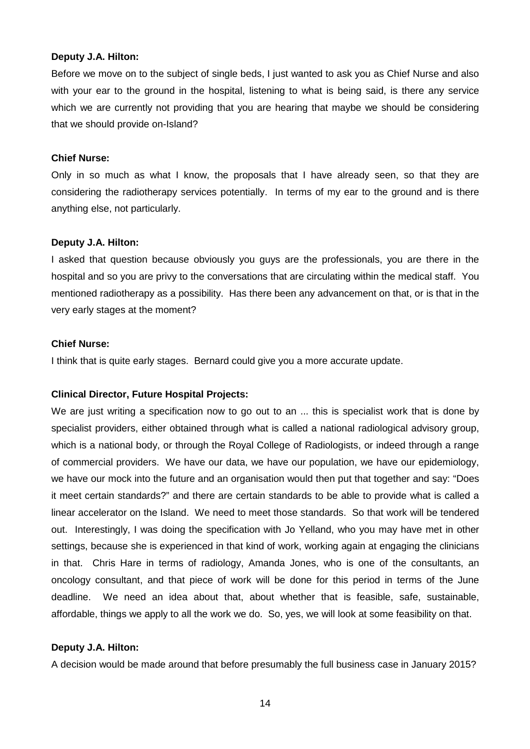#### **Deputy J.A. Hilton:**

Before we move on to the subject of single beds, I just wanted to ask you as Chief Nurse and also with your ear to the ground in the hospital, listening to what is being said, is there any service which we are currently not providing that you are hearing that maybe we should be considering that we should provide on-Island?

#### **Chief Nurse:**

Only in so much as what I know, the proposals that I have already seen, so that they are considering the radiotherapy services potentially. In terms of my ear to the ground and is there anything else, not particularly.

## **Deputy J.A. Hilton:**

I asked that question because obviously you guys are the professionals, you are there in the hospital and so you are privy to the conversations that are circulating within the medical staff. You mentioned radiotherapy as a possibility. Has there been any advancement on that, or is that in the very early stages at the moment?

#### **Chief Nurse:**

I think that is quite early stages. Bernard could give you a more accurate update.

# **Clinical Director, Future Hospital Projects:**

We are just writing a specification now to go out to an ... this is specialist work that is done by specialist providers, either obtained through what is called a national radiological advisory group, which is a national body, or through the Royal College of Radiologists, or indeed through a range of commercial providers. We have our data, we have our population, we have our epidemiology, we have our mock into the future and an organisation would then put that together and say: "Does it meet certain standards?" and there are certain standards to be able to provide what is called a linear accelerator on the Island. We need to meet those standards. So that work will be tendered out. Interestingly, I was doing the specification with Jo Yelland, who you may have met in other settings, because she is experienced in that kind of work, working again at engaging the clinicians in that. Chris Hare in terms of radiology, Amanda Jones, who is one of the consultants, an oncology consultant, and that piece of work will be done for this period in terms of the June deadline. We need an idea about that, about whether that is feasible, safe, sustainable, affordable, things we apply to all the work we do. So, yes, we will look at some feasibility on that.

#### **Deputy J.A. Hilton:**

A decision would be made around that before presumably the full business case in January 2015?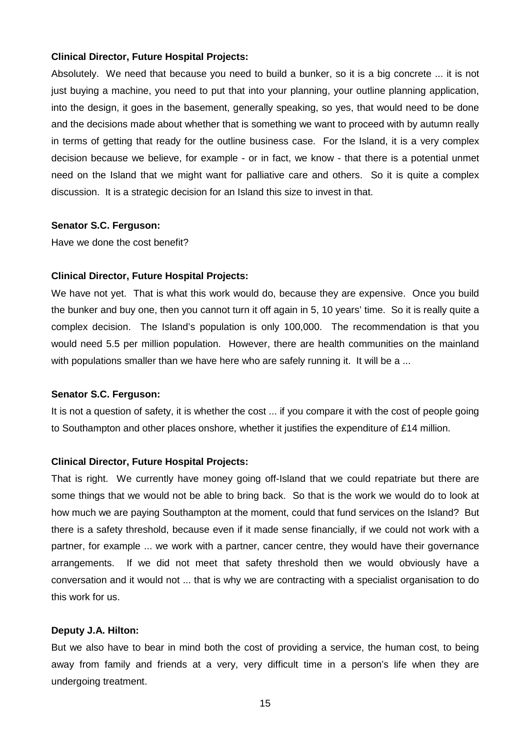#### **Clinical Director, Future Hospital Projects:**

Absolutely. We need that because you need to build a bunker, so it is a big concrete ... it is not just buying a machine, you need to put that into your planning, your outline planning application, into the design, it goes in the basement, generally speaking, so yes, that would need to be done and the decisions made about whether that is something we want to proceed with by autumn really in terms of getting that ready for the outline business case. For the Island, it is a very complex decision because we believe, for example - or in fact, we know - that there is a potential unmet need on the Island that we might want for palliative care and others. So it is quite a complex discussion. It is a strategic decision for an Island this size to invest in that.

#### **Senator S.C. Ferguson:**

Have we done the cost benefit?

#### **Clinical Director, Future Hospital Projects:**

We have not yet. That is what this work would do, because they are expensive. Once you build the bunker and buy one, then you cannot turn it off again in 5, 10 years' time. So it is really quite a complex decision. The Island's population is only 100,000. The recommendation is that you would need 5.5 per million population. However, there are health communities on the mainland with populations smaller than we have here who are safely running it. It will be a ...

## **Senator S.C. Ferguson:**

It is not a question of safety, it is whether the cost ... if you compare it with the cost of people going to Southampton and other places onshore, whether it justifies the expenditure of £14 million.

## **Clinical Director, Future Hospital Projects:**

That is right. We currently have money going off-Island that we could repatriate but there are some things that we would not be able to bring back. So that is the work we would do to look at how much we are paying Southampton at the moment, could that fund services on the Island? But there is a safety threshold, because even if it made sense financially, if we could not work with a partner, for example ... we work with a partner, cancer centre, they would have their governance arrangements. If we did not meet that safety threshold then we would obviously have a conversation and it would not ... that is why we are contracting with a specialist organisation to do this work for us.

#### **Deputy J.A. Hilton:**

But we also have to bear in mind both the cost of providing a service, the human cost, to being away from family and friends at a very, very difficult time in a person's life when they are undergoing treatment.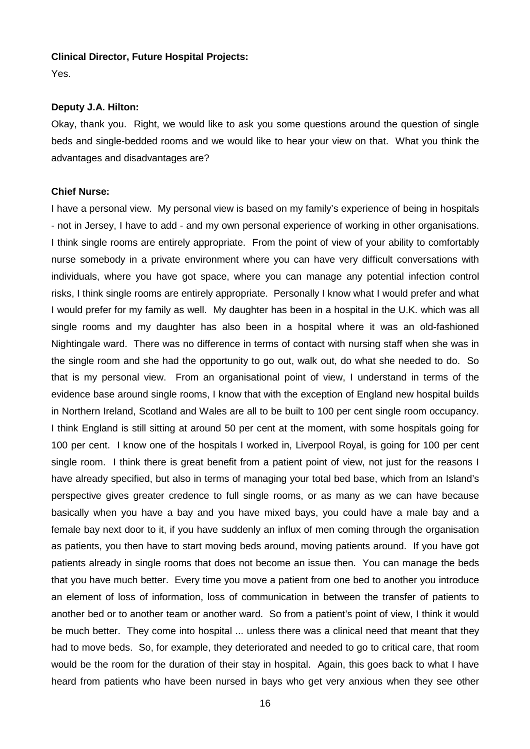#### **Clinical Director, Future Hospital Projects:**

Yes.

#### **Deputy J.A. Hilton:**

Okay, thank you. Right, we would like to ask you some questions around the question of single beds and single-bedded rooms and we would like to hear your view on that. What you think the advantages and disadvantages are?

#### **Chief Nurse:**

I have a personal view. My personal view is based on my family's experience of being in hospitals - not in Jersey, I have to add - and my own personal experience of working in other organisations. I think single rooms are entirely appropriate. From the point of view of your ability to comfortably nurse somebody in a private environment where you can have very difficult conversations with individuals, where you have got space, where you can manage any potential infection control risks, I think single rooms are entirely appropriate. Personally I know what I would prefer and what I would prefer for my family as well. My daughter has been in a hospital in the U.K. which was all single rooms and my daughter has also been in a hospital where it was an old-fashioned Nightingale ward. There was no difference in terms of contact with nursing staff when she was in the single room and she had the opportunity to go out, walk out, do what she needed to do. So that is my personal view. From an organisational point of view, I understand in terms of the evidence base around single rooms, I know that with the exception of England new hospital builds in Northern Ireland, Scotland and Wales are all to be built to 100 per cent single room occupancy. I think England is still sitting at around 50 per cent at the moment, with some hospitals going for 100 per cent. I know one of the hospitals I worked in, Liverpool Royal, is going for 100 per cent single room. I think there is great benefit from a patient point of view, not just for the reasons I have already specified, but also in terms of managing your total bed base, which from an Island's perspective gives greater credence to full single rooms, or as many as we can have because basically when you have a bay and you have mixed bays, you could have a male bay and a female bay next door to it, if you have suddenly an influx of men coming through the organisation as patients, you then have to start moving beds around, moving patients around. If you have got patients already in single rooms that does not become an issue then. You can manage the beds that you have much better. Every time you move a patient from one bed to another you introduce an element of loss of information, loss of communication in between the transfer of patients to another bed or to another team or another ward. So from a patient's point of view, I think it would be much better. They come into hospital ... unless there was a clinical need that meant that they had to move beds. So, for example, they deteriorated and needed to go to critical care, that room would be the room for the duration of their stay in hospital. Again, this goes back to what I have heard from patients who have been nursed in bays who get very anxious when they see other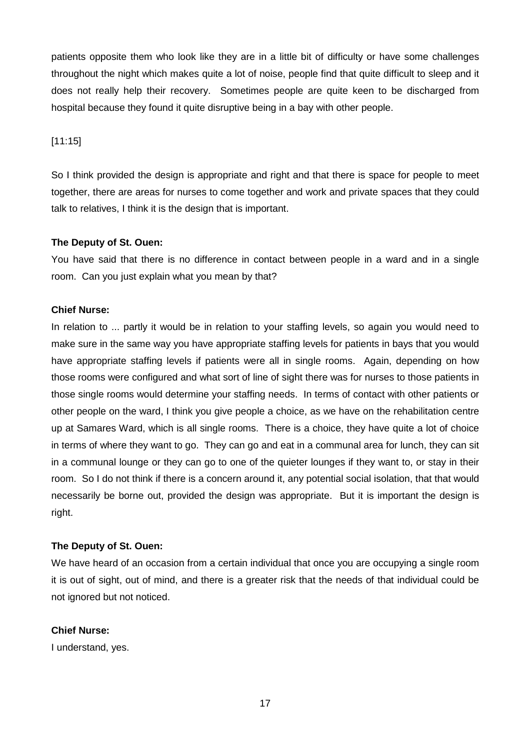patients opposite them who look like they are in a little bit of difficulty or have some challenges throughout the night which makes quite a lot of noise, people find that quite difficult to sleep and it does not really help their recovery. Sometimes people are quite keen to be discharged from hospital because they found it quite disruptive being in a bay with other people.

# [11:15]

So I think provided the design is appropriate and right and that there is space for people to meet together, there are areas for nurses to come together and work and private spaces that they could talk to relatives, I think it is the design that is important.

# **The Deputy of St. Ouen:**

You have said that there is no difference in contact between people in a ward and in a single room. Can you just explain what you mean by that?

# **Chief Nurse:**

In relation to ... partly it would be in relation to your staffing levels, so again you would need to make sure in the same way you have appropriate staffing levels for patients in bays that you would have appropriate staffing levels if patients were all in single rooms. Again, depending on how those rooms were configured and what sort of line of sight there was for nurses to those patients in those single rooms would determine your staffing needs. In terms of contact with other patients or other people on the ward, I think you give people a choice, as we have on the rehabilitation centre up at Samares Ward, which is all single rooms. There is a choice, they have quite a lot of choice in terms of where they want to go. They can go and eat in a communal area for lunch, they can sit in a communal lounge or they can go to one of the quieter lounges if they want to, or stay in their room. So I do not think if there is a concern around it, any potential social isolation, that that would necessarily be borne out, provided the design was appropriate. But it is important the design is right.

# **The Deputy of St. Ouen:**

We have heard of an occasion from a certain individual that once you are occupying a single room it is out of sight, out of mind, and there is a greater risk that the needs of that individual could be not ignored but not noticed.

# **Chief Nurse:**

I understand, yes.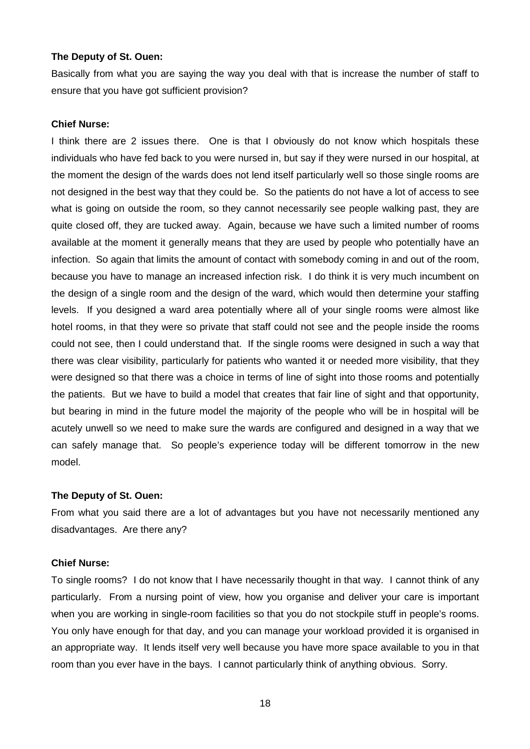#### **The Deputy of St. Ouen:**

Basically from what you are saying the way you deal with that is increase the number of staff to ensure that you have got sufficient provision?

#### **Chief Nurse:**

I think there are 2 issues there. One is that I obviously do not know which hospitals these individuals who have fed back to you were nursed in, but say if they were nursed in our hospital, at the moment the design of the wards does not lend itself particularly well so those single rooms are not designed in the best way that they could be. So the patients do not have a lot of access to see what is going on outside the room, so they cannot necessarily see people walking past, they are quite closed off, they are tucked away. Again, because we have such a limited number of rooms available at the moment it generally means that they are used by people who potentially have an infection. So again that limits the amount of contact with somebody coming in and out of the room, because you have to manage an increased infection risk. I do think it is very much incumbent on the design of a single room and the design of the ward, which would then determine your staffing levels. If you designed a ward area potentially where all of your single rooms were almost like hotel rooms, in that they were so private that staff could not see and the people inside the rooms could not see, then I could understand that. If the single rooms were designed in such a way that there was clear visibility, particularly for patients who wanted it or needed more visibility, that they were designed so that there was a choice in terms of line of sight into those rooms and potentially the patients. But we have to build a model that creates that fair line of sight and that opportunity, but bearing in mind in the future model the majority of the people who will be in hospital will be acutely unwell so we need to make sure the wards are configured and designed in a way that we can safely manage that. So people's experience today will be different tomorrow in the new model.

#### **The Deputy of St. Ouen:**

From what you said there are a lot of advantages but you have not necessarily mentioned any disadvantages. Are there any?

# **Chief Nurse:**

To single rooms? I do not know that I have necessarily thought in that way. I cannot think of any particularly. From a nursing point of view, how you organise and deliver your care is important when you are working in single-room facilities so that you do not stockpile stuff in people's rooms. You only have enough for that day, and you can manage your workload provided it is organised in an appropriate way. It lends itself very well because you have more space available to you in that room than you ever have in the bays. I cannot particularly think of anything obvious. Sorry.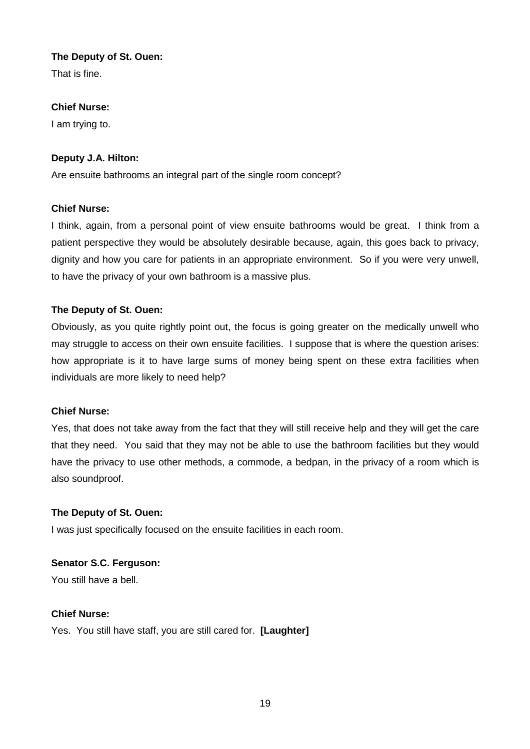# **The Deputy of St. Ouen:**

That is fine.

# **Chief Nurse:**

I am trying to.

# **Deputy J.A. Hilton:**

Are ensuite bathrooms an integral part of the single room concept?

# **Chief Nurse:**

I think, again, from a personal point of view ensuite bathrooms would be great. I think from a patient perspective they would be absolutely desirable because, again, this goes back to privacy, dignity and how you care for patients in an appropriate environment. So if you were very unwell, to have the privacy of your own bathroom is a massive plus.

# **The Deputy of St. Ouen:**

Obviously, as you quite rightly point out, the focus is going greater on the medically unwell who may struggle to access on their own ensuite facilities. I suppose that is where the question arises: how appropriate is it to have large sums of money being spent on these extra facilities when individuals are more likely to need help?

# **Chief Nurse:**

Yes, that does not take away from the fact that they will still receive help and they will get the care that they need. You said that they may not be able to use the bathroom facilities but they would have the privacy to use other methods, a commode, a bedpan, in the privacy of a room which is also soundproof.

# **The Deputy of St. Ouen:**

I was just specifically focused on the ensuite facilities in each room.

# **Senator S.C. Ferguson:**

You still have a bell.

# **Chief Nurse:**

Yes. You still have staff, you are still cared for. **[Laughter]**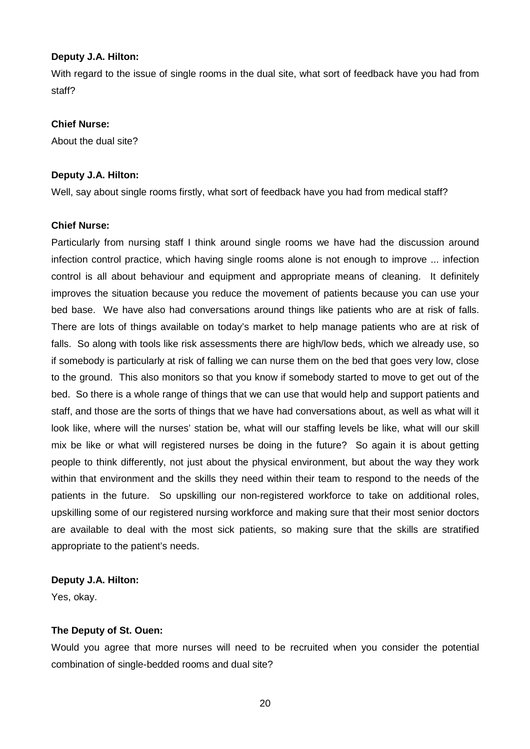## **Deputy J.A. Hilton:**

With regard to the issue of single rooms in the dual site, what sort of feedback have you had from staff?

# **Chief Nurse:**

About the dual site?

# **Deputy J.A. Hilton:**

Well, say about single rooms firstly, what sort of feedback have you had from medical staff?

## **Chief Nurse:**

Particularly from nursing staff I think around single rooms we have had the discussion around infection control practice, which having single rooms alone is not enough to improve ... infection control is all about behaviour and equipment and appropriate means of cleaning. It definitely improves the situation because you reduce the movement of patients because you can use your bed base. We have also had conversations around things like patients who are at risk of falls. There are lots of things available on today's market to help manage patients who are at risk of falls. So along with tools like risk assessments there are high/low beds, which we already use, so if somebody is particularly at risk of falling we can nurse them on the bed that goes very low, close to the ground. This also monitors so that you know if somebody started to move to get out of the bed. So there is a whole range of things that we can use that would help and support patients and staff, and those are the sorts of things that we have had conversations about, as well as what will it look like, where will the nurses' station be, what will our staffing levels be like, what will our skill mix be like or what will registered nurses be doing in the future? So again it is about getting people to think differently, not just about the physical environment, but about the way they work within that environment and the skills they need within their team to respond to the needs of the patients in the future. So upskilling our non-registered workforce to take on additional roles, upskilling some of our registered nursing workforce and making sure that their most senior doctors are available to deal with the most sick patients, so making sure that the skills are stratified appropriate to the patient's needs.

# **Deputy J.A. Hilton:**

Yes, okay.

# **The Deputy of St. Ouen:**

Would you agree that more nurses will need to be recruited when you consider the potential combination of single-bedded rooms and dual site?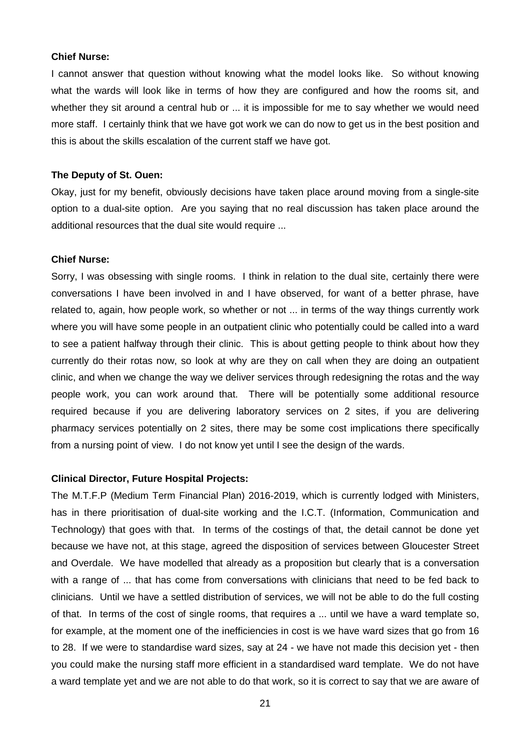#### **Chief Nurse:**

I cannot answer that question without knowing what the model looks like. So without knowing what the wards will look like in terms of how they are configured and how the rooms sit, and whether they sit around a central hub or ... it is impossible for me to say whether we would need more staff. I certainly think that we have got work we can do now to get us in the best position and this is about the skills escalation of the current staff we have got.

#### **The Deputy of St. Ouen:**

Okay, just for my benefit, obviously decisions have taken place around moving from a single-site option to a dual-site option. Are you saying that no real discussion has taken place around the additional resources that the dual site would require ...

#### **Chief Nurse:**

Sorry, I was obsessing with single rooms. I think in relation to the dual site, certainly there were conversations I have been involved in and I have observed, for want of a better phrase, have related to, again, how people work, so whether or not ... in terms of the way things currently work where you will have some people in an outpatient clinic who potentially could be called into a ward to see a patient halfway through their clinic. This is about getting people to think about how they currently do their rotas now, so look at why are they on call when they are doing an outpatient clinic, and when we change the way we deliver services through redesigning the rotas and the way people work, you can work around that. There will be potentially some additional resource required because if you are delivering laboratory services on 2 sites, if you are delivering pharmacy services potentially on 2 sites, there may be some cost implications there specifically from a nursing point of view. I do not know yet until I see the design of the wards.

#### **Clinical Director, Future Hospital Projects:**

The M.T.F.P (Medium Term Financial Plan) 2016-2019, which is currently lodged with Ministers, has in there prioritisation of dual-site working and the I.C.T. (Information, Communication and Technology) that goes with that. In terms of the costings of that, the detail cannot be done yet because we have not, at this stage, agreed the disposition of services between Gloucester Street and Overdale. We have modelled that already as a proposition but clearly that is a conversation with a range of ... that has come from conversations with clinicians that need to be fed back to clinicians. Until we have a settled distribution of services, we will not be able to do the full costing of that. In terms of the cost of single rooms, that requires a ... until we have a ward template so, for example, at the moment one of the inefficiencies in cost is we have ward sizes that go from 16 to 28. If we were to standardise ward sizes, say at 24 - we have not made this decision yet - then you could make the nursing staff more efficient in a standardised ward template. We do not have a ward template yet and we are not able to do that work, so it is correct to say that we are aware of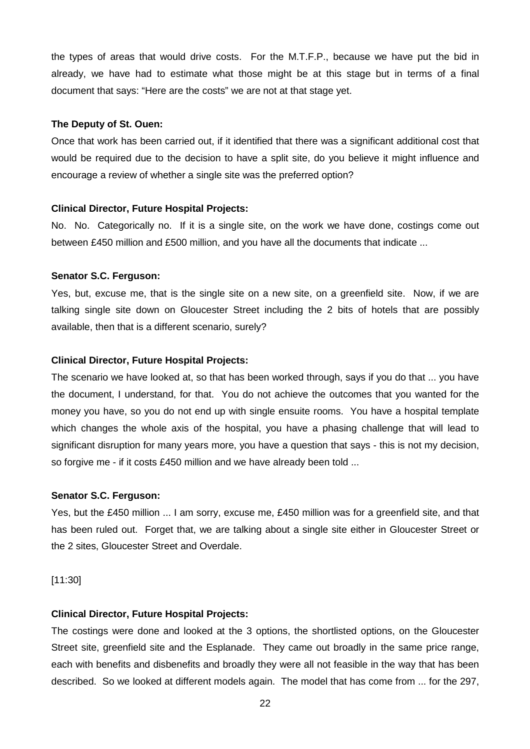the types of areas that would drive costs. For the M.T.F.P., because we have put the bid in already, we have had to estimate what those might be at this stage but in terms of a final document that says: "Here are the costs" we are not at that stage yet.

#### **The Deputy of St. Ouen:**

Once that work has been carried out, if it identified that there was a significant additional cost that would be required due to the decision to have a split site, do you believe it might influence and encourage a review of whether a single site was the preferred option?

# **Clinical Director, Future Hospital Projects:**

No. No. Categorically no. If it is a single site, on the work we have done, costings come out between £450 million and £500 million, and you have all the documents that indicate ...

## **Senator S.C. Ferguson:**

Yes, but, excuse me, that is the single site on a new site, on a greenfield site. Now, if we are talking single site down on Gloucester Street including the 2 bits of hotels that are possibly available, then that is a different scenario, surely?

## **Clinical Director, Future Hospital Projects:**

The scenario we have looked at, so that has been worked through, says if you do that ... you have the document, I understand, for that. You do not achieve the outcomes that you wanted for the money you have, so you do not end up with single ensuite rooms. You have a hospital template which changes the whole axis of the hospital, you have a phasing challenge that will lead to significant disruption for many years more, you have a question that says - this is not my decision, so forgive me - if it costs £450 million and we have already been told ...

#### **Senator S.C. Ferguson:**

Yes, but the £450 million ... I am sorry, excuse me, £450 million was for a greenfield site, and that has been ruled out. Forget that, we are talking about a single site either in Gloucester Street or the 2 sites, Gloucester Street and Overdale.

#### [11:30]

# **Clinical Director, Future Hospital Projects:**

The costings were done and looked at the 3 options, the shortlisted options, on the Gloucester Street site, greenfield site and the Esplanade. They came out broadly in the same price range, each with benefits and disbenefits and broadly they were all not feasible in the way that has been described. So we looked at different models again. The model that has come from ... for the 297,